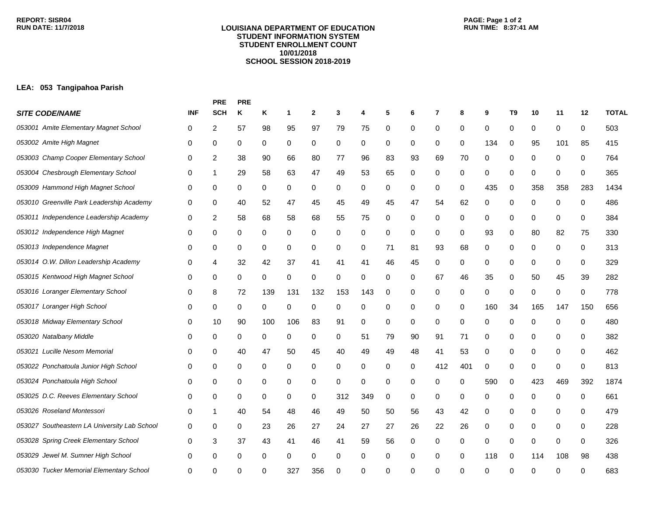#### **LOUISIANA DEPARTMENT OF EDUCATION STUDENT INFORMATION SYSTEM STUDENT ENROLLMENT COUNT 10/01/2018 SCHOOL SESSION 2018-2019**

# **PAGE: Page 1 of 2**

## **LEA: 053 Tangipahoa Parish**

|                                              |            | <b>PRE</b> | <b>PRE</b> |     |     |              |     |     |    |    |     |     |          |                |     |             |     |              |
|----------------------------------------------|------------|------------|------------|-----|-----|--------------|-----|-----|----|----|-----|-----|----------|----------------|-----|-------------|-----|--------------|
| <b>SITE CODE/NAME</b>                        | <b>INF</b> | <b>SCH</b> | Κ          | Κ   | -1  | $\mathbf{2}$ | 3   | 4   | 5  | 6  | 7   | 8   | 9        | T <sub>9</sub> | 10  | 11          | 12  | <b>TOTAL</b> |
| 053001 Amite Elementary Magnet School        | 0          | 2          | 57         | 98  | 95  | 97           | 79  | 75  | 0  | 0  | 0   | 0   | 0        | 0              | 0   | 0           | 0   | 503          |
| 053002 Amite High Magnet                     | 0          | 0          | 0          | 0   | 0   | $\mathbf 0$  | 0   | 0   | 0  | 0  | 0   | 0   | 134      | 0              | 95  | 101         | 85  | 415          |
| 053003 Champ Cooper Elementary School        | 0          | 2          | 38         | 90  | 66  | 80           | 77  | 96  | 83 | 93 | 69  | 70  | 0        | 0              | 0   | 0           | 0   | 764          |
| 053004 Chesbrough Elementary School          | 0          | 1          | 29         | 58  | 63  | 47           | 49  | 53  | 65 | 0  | 0   | 0   | 0        | 0              | 0   | 0           | 0   | 365          |
| 053009 Hammond High Magnet School            | 0          | 0          | 0          | 0   | 0   | 0            | 0   | 0   | 0  | 0  | 0   | 0   | 435      | 0              | 358 | 358         | 283 | 1434         |
| 053010 Greenville Park Leadership Academy    | 0          | 0          | 40         | 52  | 47  | 45           | 45  | 49  | 45 | 47 | 54  | 62  | 0        | 0              | 0   | 0           | 0   | 486          |
| 053011 Independence Leadership Academy       | 0          | 2          | 58         | 68  | 58  | 68           | 55  | 75  | 0  | 0  | 0   | 0   | 0        | 0              | 0   | 0           | 0   | 384          |
| 053012 Independence High Magnet              | 0          | 0          | 0          | 0   | 0   | 0            | 0   | 0   | 0  | 0  | 0   | 0   | 93       | 0              | 80  | 82          | 75  | 330          |
| 053013 Independence Magnet                   | 0          | 0          | 0          | 0   | 0   | 0            | 0   | 0   | 71 | 81 | 93  | 68  | 0        | 0              | 0   | 0           | 0   | 313          |
| 053014 O.W. Dillon Leadership Academy        | 0          | 4          | 32         | 42  | 37  | 41           | 41  | 41  | 46 | 45 | 0   | 0   | 0        | 0              | 0   | 0           | 0   | 329          |
| 053015 Kentwood High Magnet School           | 0          | 0          | 0          | 0   | 0   | 0            | 0   | 0   | 0  | 0  | 67  | 46  | 35       | 0              | 50  | 45          | 39  | 282          |
| 053016 Loranger Elementary School            | 0          | 8          | 72         | 139 | 131 | 132          | 153 | 143 | 0  | 0  | 0   | 0   | 0        | 0              | 0   | 0           | 0   | 778          |
| 053017 Loranger High School                  | 0          | 0          | 0          | 0   | 0   | 0            | 0   | 0   | 0  | 0  | 0   | 0   | 160      | 34             | 165 | 147         | 150 | 656          |
| 053018 Midway Elementary School              | 0          | 10         | 90         | 100 | 106 | 83           | 91  | 0   | 0  | 0  | 0   | 0   | 0        | 0              | 0   | 0           | 0   | 480          |
| 053020 Natalbany Middle                      | 0          | 0          | 0          | 0   | 0   | 0            | 0   | 51  | 79 | 90 | 91  | 71  | 0        | 0              | 0   | 0           | 0   | 382          |
| 053021 Lucille Nesom Memorial                | 0          | 0          | 40         | 47  | 50  | 45           | 40  | 49  | 49 | 48 | 41  | 53  | 0        | 0              | 0   | 0           | 0   | 462          |
| 053022 Ponchatoula Junior High School        | 0          | 0          | 0          | 0   | 0   | 0            | 0   | 0   | 0  | 0  | 412 | 401 | 0        | 0              | 0   | 0           | 0   | 813          |
| 053024 Ponchatoula High School               | 0          | 0          | 0          | 0   | 0   | 0            | 0   | 0   | 0  | 0  | 0   | 0   | 590      | 0              | 423 | 469         | 392 | 1874         |
| 053025 D.C. Reeves Elementary School         | 0          | 0          | 0          | 0   | 0   | 0            | 312 | 349 | 0  | 0  | 0   | 0   | 0        | 0              | 0   | 0           | 0   | 661          |
| 053026 Roseland Montessori                   | 0          | 1          | 40         | 54  | 48  | 46           | 49  | 50  | 50 | 56 | 43  | 42  | 0        | 0              | 0   | 0           | 0   | 479          |
| 053027 Southeastern LA University Lab School | 0          | 0          | 0          | 23  | 26  | 27           | 24  | 27  | 27 | 26 | 22  | 26  | 0        | 0              | 0   | 0           | 0   | 228          |
| 053028 Spring Creek Elementary School        | 0          | 3          | 37         | 43  | 41  | 46           | 41  | 59  | 56 | 0  | 0   | 0   | 0        | 0              | 0   | $\mathbf 0$ | 0   | 326          |
| 053029 Jewel M. Sumner High School           | 0          | 0          | 0          | 0   | 0   | 0            | 0   | 0   | 0  | 0  | 0   | 0   | 118      | 0              | 114 | 108         | 98  | 438          |
| 053030 Tucker Memorial Elementary School     | 0          | ∩          |            |     | 327 | 356          | ŋ   | U   | U  | ŋ  | ∩   | ∩   | $\Omega$ | $\Omega$       | ∩   | ∩           |     | 683          |